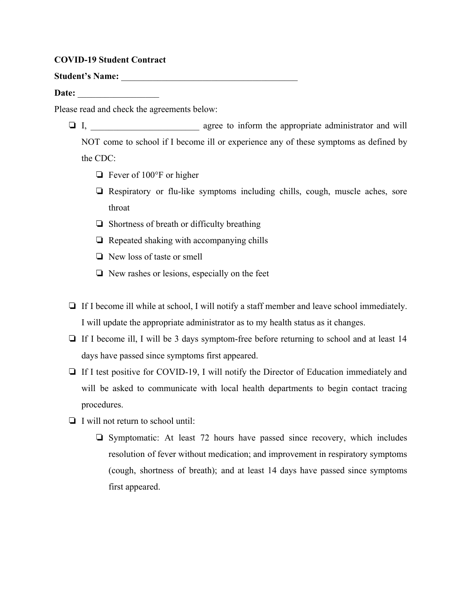## **COVID-19 Student Contract**

Student's Name:

Date:

Please read and check the agreements below:

- ❏ I, \_\_\_\_\_\_\_\_\_\_\_\_\_\_\_\_\_\_\_\_\_\_\_\_ agree to inform the appropriate administrator and will NOT come to school if I become ill or experience any of these symptoms as defined by the CDC:
	- ❏ Fever of 100°F or higher
	- ❏ Respiratory or flu-like symptoms including chills, cough, muscle aches, sore throat
	- ❏ Shortness of breath or difficulty breathing
	- ❏ Repeated shaking with accompanying chills
	- ❏ New loss of taste or smell
	- ❏ New rashes or lesions, especially on the feet
- ❏ If I become ill while at school, I will notify a staff member and leave school immediately. I will update the appropriate administrator as to my health status as it changes.
- ❏ If I become ill, I will be 3 days symptom-free before returning to school and at least 14 days have passed since symptoms first appeared.
- ❏ If I test positive for COVID-19, I will notify the Director of Education immediately and will be asked to communicate with local health departments to begin contact tracing procedures.
- ❏ I will not return to school until:
	- ❏ Symptomatic: At least 72 hours have passed since recovery, which includes resolution of fever without medication; and improvement in respiratory symptoms (cough, shortness of breath); and at least 14 days have passed since symptoms first appeared.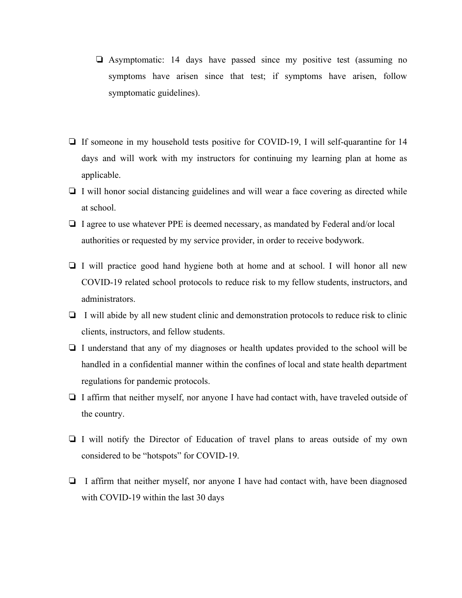- ❏ Asymptomatic: 14 days have passed since my positive test (assuming no symptoms have arisen since that test; if symptoms have arisen, follow symptomatic guidelines).
- ❏ If someone in my household tests positive for COVID-19, I will self-quarantine for 14 days and will work with my instructors for continuing my learning plan at home as applicable.
- ❏ I will honor social distancing guidelines and will wear a face covering as directed while at school.
- ❏ I agree to use whatever PPE is deemed necessary, as mandated by Federal and/or local authorities or requested by my service provider, in order to receive bodywork.
- ❏ I will practice good hand hygiene both at home and at school. I will honor all new COVID-19 related school protocols to reduce risk to my fellow students, instructors, and administrators.
- ❏ I will abide by all new student clinic and demonstration protocols to reduce risk to clinic clients, instructors, and fellow students.
- ❏ I understand that any of my diagnoses or health updates provided to the school will be handled in a confidential manner within the confines of local and state health department regulations for pandemic protocols.
- ❏ I affirm that neither myself, nor anyone I have had contact with, have traveled outside of the country.
- ❏ I will notify the Director of Education of travel plans to areas outside of my own considered to be "hotspots" for COVID-19.
- ❏ I affirm that neither myself, nor anyone I have had contact with, have been diagnosed with COVID-19 within the last 30 days